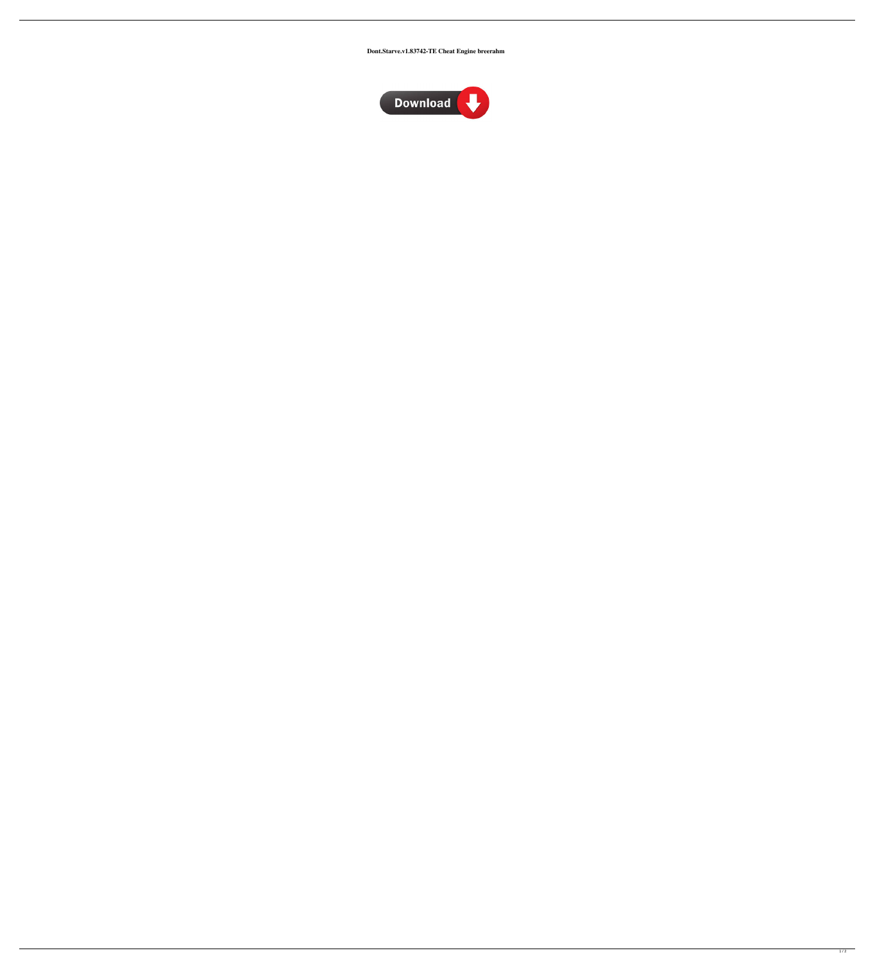Dont.Starve.v1.83742-TE Cheat Engine breerahm